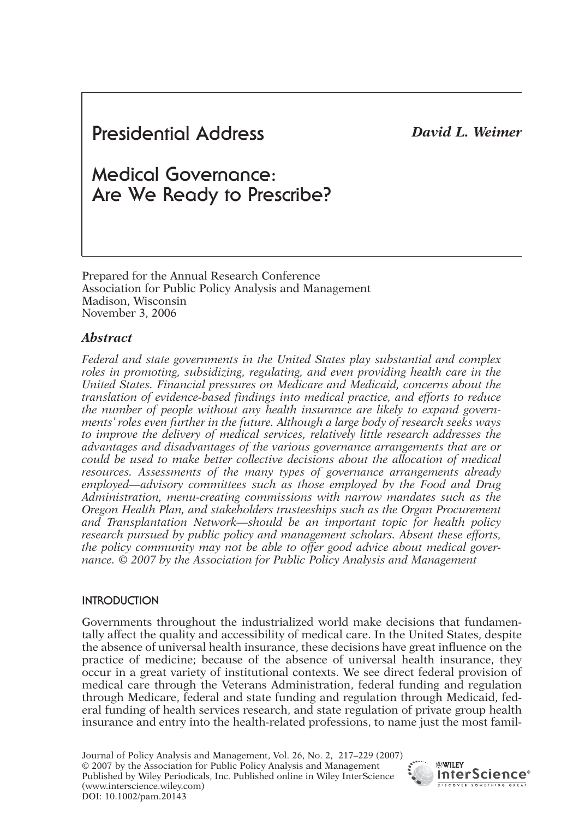# **Presidential Address** *David L. Weimer*

## **Medical Governance: Are We Ready to Prescribe?**

Prepared for the Annual Research Conference Association for Public Policy Analysis and Management Madison, Wisconsin November 3, 2006

## *Abstract*

*Federal and state governments in the United States play substantial and complex roles in promoting, subsidizing, regulating, and even providing health care in the United States. Financial pressures on Medicare and Medicaid, concerns about the translation of evidence-based findings into medical practice, and efforts to reduce the number of people without any health insurance are likely to expand governments' roles even further in the future. Although a large body of research seeks ways to improve the delivery of medical services, relatively little research addresses the advantages and disadvantages of the various governance arrangements that are or could be used to make better collective decisions about the allocation of medical resources. Assessments of the many types of governance arrangements already employed—advisory committees such as those employed by the Food and Drug Administration, menu-creating commissions with narrow mandates such as the Oregon Health Plan, and stakeholders trusteeships such as the Organ Procurement and Transplantation Network—should be an important topic for health policy research pursued by public policy and management scholars. Absent these efforts, the policy community may not be able to offer good advice about medical governance. © 2007 by the Association for Public Policy Analysis and Management*

### **INTRODUCTION**

Governments throughout the industrialized world make decisions that fundamentally affect the quality and accessibility of medical care. In the United States, despite the absence of universal health insurance, these decisions have great influence on the practice of medicine; because of the absence of universal health insurance, they occur in a great variety of institutional contexts. We see direct federal provision of medical care through the Veterans Administration, federal funding and regulation through Medicare, federal and state funding and regulation through Medicaid, federal funding of health services research, and state regulation of private group health insurance and entry into the health-related professions, to name just the most famil-

Journal of Policy Analysis and Management, Vol. 26, No. 2, 217–229 (2007) © 2007 by the Association for Public Policy Analysis and Management Published by Wiley Periodicals, Inc. Published online in Wiley InterScience (www.interscience.wiley.com) DOI: 10.1002/pam.20143

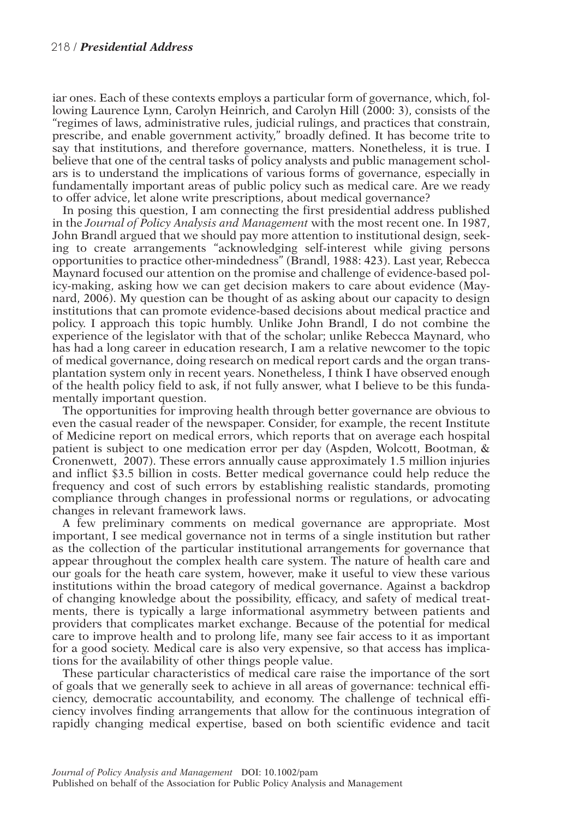iar ones. Each of these contexts employs a particular form of governance, which, following Laurence Lynn, Carolyn Heinrich, and Carolyn Hill (2000: 3), consists of the "regimes of laws, administrative rules, judicial rulings, and practices that constrain, prescribe, and enable government activity," broadly defined. It has become trite to say that institutions, and therefore governance, matters. Nonetheless, it is true. I believe that one of the central tasks of policy analysts and public management scholars is to understand the implications of various forms of governance, especially in fundamentally important areas of public policy such as medical care. Are we ready to offer advice, let alone write prescriptions, about medical governance?

In posing this question, I am connecting the first presidential address published in the *Journal of Policy Analysis and Management* with the most recent one. In 1987, John Brandl argued that we should pay more attention to institutional design, seeking to create arrangements "acknowledging self-interest while giving persons opportunities to practice other-mindedness" (Brandl, 1988: 423). Last year, Rebecca Maynard focused our attention on the promise and challenge of evidence-based policy-making, asking how we can get decision makers to care about evidence (Maynard, 2006). My question can be thought of as asking about our capacity to design institutions that can promote evidence-based decisions about medical practice and policy. I approach this topic humbly. Unlike John Brandl, I do not combine the experience of the legislator with that of the scholar; unlike Rebecca Maynard, who has had a long career in education research, I am a relative newcomer to the topic of medical governance, doing research on medical report cards and the organ transplantation system only in recent years. Nonetheless, I think I have observed enough of the health policy field to ask, if not fully answer, what I believe to be this fundamentally important question.

The opportunities for improving health through better governance are obvious to even the casual reader of the newspaper. Consider, for example, the recent Institute of Medicine report on medical errors, which reports that on average each hospital patient is subject to one medication error per day (Aspden, Wolcott, Bootman, & Cronenwett, 2007). These errors annually cause approximately 1.5 million injuries and inflict \$3.5 billion in costs. Better medical governance could help reduce the frequency and cost of such errors by establishing realistic standards, promoting compliance through changes in professional norms or regulations, or advocating changes in relevant framework laws.

A few preliminary comments on medical governance are appropriate. Most important, I see medical governance not in terms of a single institution but rather as the collection of the particular institutional arrangements for governance that appear throughout the complex health care system. The nature of health care and our goals for the heath care system, however, make it useful to view these various institutions within the broad category of medical governance. Against a backdrop of changing knowledge about the possibility, efficacy, and safety of medical treatments, there is typically a large informational asymmetry between patients and providers that complicates market exchange. Because of the potential for medical care to improve health and to prolong life, many see fair access to it as important for a good society. Medical care is also very expensive, so that access has implications for the availability of other things people value.

These particular characteristics of medical care raise the importance of the sort of goals that we generally seek to achieve in all areas of governance: technical efficiency, democratic accountability, and economy. The challenge of technical efficiency involves finding arrangements that allow for the continuous integration of rapidly changing medical expertise, based on both scientific evidence and tacit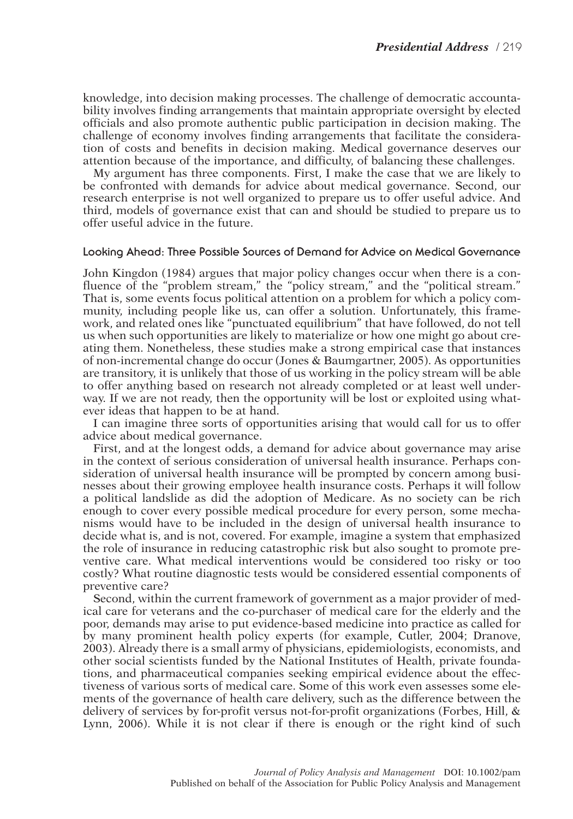knowledge, into decision making processes. The challenge of democratic accountability involves finding arrangements that maintain appropriate oversight by elected officials and also promote authentic public participation in decision making. The challenge of economy involves finding arrangements that facilitate the consideration of costs and benefits in decision making. Medical governance deserves our attention because of the importance, and difficulty, of balancing these challenges.

My argument has three components. First, I make the case that we are likely to be confronted with demands for advice about medical governance. Second, our research enterprise is not well organized to prepare us to offer useful advice. And third, models of governance exist that can and should be studied to prepare us to offer useful advice in the future.

#### **Looking Ahead: Three Possible Sources of Demand for Advice on Medical Governance**

John Kingdon (1984) argues that major policy changes occur when there is a confluence of the "problem stream," the "policy stream," and the "political stream." That is, some events focus political attention on a problem for which a policy community, including people like us, can offer a solution. Unfortunately, this framework, and related ones like "punctuated equilibrium" that have followed, do not tell us when such opportunities are likely to materialize or how one might go about creating them. Nonetheless, these studies make a strong empirical case that instances of non-incremental change do occur (Jones & Baumgartner, 2005). As opportunities are transitory, it is unlikely that those of us working in the policy stream will be able to offer anything based on research not already completed or at least well underway. If we are not ready, then the opportunity will be lost or exploited using whatever ideas that happen to be at hand.

I can imagine three sorts of opportunities arising that would call for us to offer advice about medical governance.

First, and at the longest odds, a demand for advice about governance may arise in the context of serious consideration of universal health insurance. Perhaps consideration of universal health insurance will be prompted by concern among businesses about their growing employee health insurance costs. Perhaps it will follow a political landslide as did the adoption of Medicare. As no society can be rich enough to cover every possible medical procedure for every person, some mechanisms would have to be included in the design of universal health insurance to decide what is, and is not, covered. For example, imagine a system that emphasized the role of insurance in reducing catastrophic risk but also sought to promote preventive care. What medical interventions would be considered too risky or too costly? What routine diagnostic tests would be considered essential components of preventive care?

Second, within the current framework of government as a major provider of medical care for veterans and the co-purchaser of medical care for the elderly and the poor, demands may arise to put evidence-based medicine into practice as called for by many prominent health policy experts (for example, Cutler, 2004; Dranove, 2003). Already there is a small army of physicians, epidemiologists, economists, and other social scientists funded by the National Institutes of Health, private foundations, and pharmaceutical companies seeking empirical evidence about the effectiveness of various sorts of medical care. Some of this work even assesses some elements of the governance of health care delivery, such as the difference between the delivery of services by for-profit versus not-for-profit organizations (Forbes, Hill, & Lynn, 2006). While it is not clear if there is enough or the right kind of such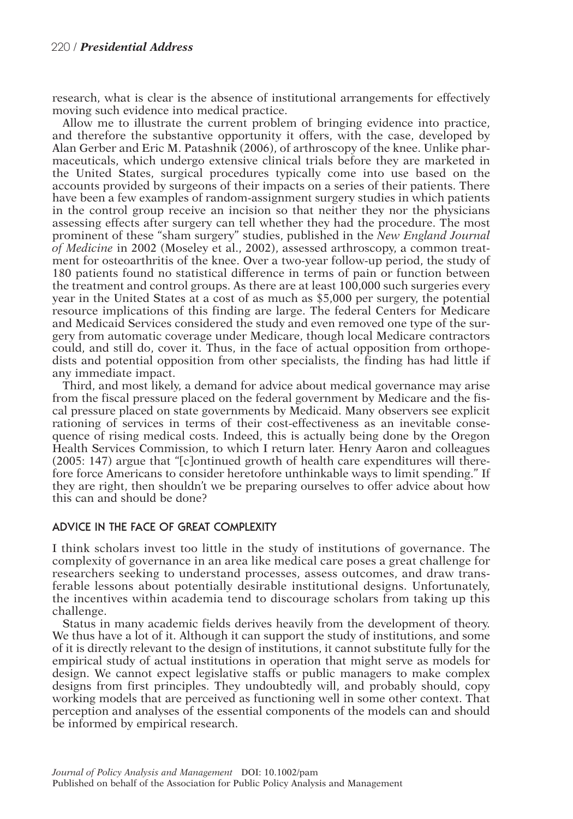research, what is clear is the absence of institutional arrangements for effectively moving such evidence into medical practice.

Allow me to illustrate the current problem of bringing evidence into practice, and therefore the substantive opportunity it offers, with the case, developed by Alan Gerber and Eric M. Patashnik (2006), of arthroscopy of the knee. Unlike pharmaceuticals, which undergo extensive clinical trials before they are marketed in the United States, surgical procedures typically come into use based on the accounts provided by surgeons of their impacts on a series of their patients. There have been a few examples of random-assignment surgery studies in which patients in the control group receive an incision so that neither they nor the physicians assessing effects after surgery can tell whether they had the procedure. The most prominent of these "sham surgery" studies, published in the *New England Journal of Medicine* in 2002 (Moseley et al., 2002), assessed arthroscopy, a common treatment for osteoarthritis of the knee. Over a two-year follow-up period, the study of 180 patients found no statistical difference in terms of pain or function between the treatment and control groups. As there are at least 100,000 such surgeries every year in the United States at a cost of as much as \$5,000 per surgery, the potential resource implications of this finding are large. The federal Centers for Medicare and Medicaid Services considered the study and even removed one type of the surgery from automatic coverage under Medicare, though local Medicare contractors could, and still do, cover it. Thus, in the face of actual opposition from orthopedists and potential opposition from other specialists, the finding has had little if any immediate impact.

Third, and most likely, a demand for advice about medical governance may arise from the fiscal pressure placed on the federal government by Medicare and the fiscal pressure placed on state governments by Medicaid. Many observers see explicit rationing of services in terms of their cost-effectiveness as an inevitable consequence of rising medical costs. Indeed, this is actually being done by the Oregon Health Services Commission, to which I return later. Henry Aaron and colleagues (2005: 147) argue that "[c]ontinued growth of health care expenditures will therefore force Americans to consider heretofore unthinkable ways to limit spending." If they are right, then shouldn't we be preparing ourselves to offer advice about how this can and should be done?

#### **ADVICE IN THE FACE OF GREAT COMPLEXITY**

I think scholars invest too little in the study of institutions of governance. The complexity of governance in an area like medical care poses a great challenge for researchers seeking to understand processes, assess outcomes, and draw transferable lessons about potentially desirable institutional designs. Unfortunately, the incentives within academia tend to discourage scholars from taking up this challenge.

Status in many academic fields derives heavily from the development of theory. We thus have a lot of it. Although it can support the study of institutions, and some of it is directly relevant to the design of institutions, it cannot substitute fully for the empirical study of actual institutions in operation that might serve as models for design. We cannot expect legislative staffs or public managers to make complex designs from first principles. They undoubtedly will, and probably should, copy working models that are perceived as functioning well in some other context. That perception and analyses of the essential components of the models can and should be informed by empirical research.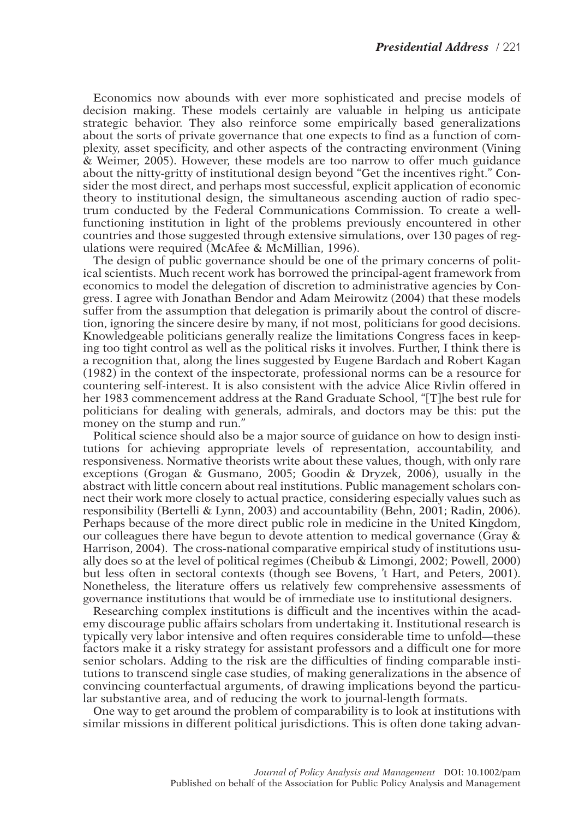Economics now abounds with ever more sophisticated and precise models of decision making. These models certainly are valuable in helping us anticipate strategic behavior. They also reinforce some empirically based generalizations about the sorts of private governance that one expects to find as a function of complexity, asset specificity, and other aspects of the contracting environment (Vining & Weimer, 2005). However, these models are too narrow to offer much guidance about the nitty-gritty of institutional design beyond "Get the incentives right." Consider the most direct, and perhaps most successful, explicit application of economic theory to institutional design, the simultaneous ascending auction of radio spectrum conducted by the Federal Communications Commission. To create a wellfunctioning institution in light of the problems previously encountered in other countries and those suggested through extensive simulations, over 130 pages of regulations were required (McAfee & McMillian, 1996).

The design of public governance should be one of the primary concerns of political scientists. Much recent work has borrowed the principal-agent framework from economics to model the delegation of discretion to administrative agencies by Congress. I agree with Jonathan Bendor and Adam Meirowitz (2004) that these models suffer from the assumption that delegation is primarily about the control of discretion, ignoring the sincere desire by many, if not most, politicians for good decisions. Knowledgeable politicians generally realize the limitations Congress faces in keeping too tight control as well as the political risks it involves. Further, I think there is a recognition that, along the lines suggested by Eugene Bardach and Robert Kagan (1982) in the context of the inspectorate, professional norms can be a resource for countering self-interest. It is also consistent with the advice Alice Rivlin offered in her 1983 commencement address at the Rand Graduate School, "[T]he best rule for politicians for dealing with generals, admirals, and doctors may be this: put the money on the stump and run."

Political science should also be a major source of guidance on how to design institutions for achieving appropriate levels of representation, accountability, and responsiveness. Normative theorists write about these values, though, with only rare exceptions (Grogan & Gusmano, 2005; Goodin & Dryzek, 2006), usually in the abstract with little concern about real institutions. Public management scholars connect their work more closely to actual practice, considering especially values such as responsibility (Bertelli & Lynn, 2003) and accountability (Behn, 2001; Radin, 2006). Perhaps because of the more direct public role in medicine in the United Kingdom, our colleagues there have begun to devote attention to medical governance (Gray & Harrison, 2004). The cross-national comparative empirical study of institutions usually does so at the level of political regimes (Cheibub & Limongi, 2002; Powell, 2000) but less often in sectoral contexts (though see Bovens, 't Hart, and Peters, 2001). Nonetheless, the literature offers us relatively few comprehensive assessments of governance institutions that would be of immediate use to institutional designers.

Researching complex institutions is difficult and the incentives within the academy discourage public affairs scholars from undertaking it. Institutional research is typically very labor intensive and often requires considerable time to unfold—these factors make it a risky strategy for assistant professors and a difficult one for more senior scholars. Adding to the risk are the difficulties of finding comparable institutions to transcend single case studies, of making generalizations in the absence of convincing counterfactual arguments, of drawing implications beyond the particular substantive area, and of reducing the work to journal-length formats.

One way to get around the problem of comparability is to look at institutions with similar missions in different political jurisdictions. This is often done taking advan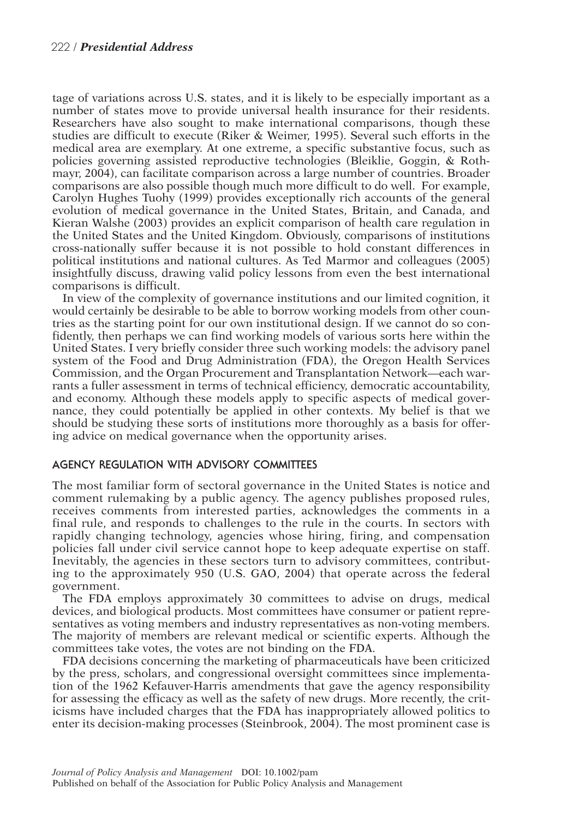tage of variations across U.S. states, and it is likely to be especially important as a number of states move to provide universal health insurance for their residents. Researchers have also sought to make international comparisons, though these studies are difficult to execute (Riker & Weimer, 1995). Several such efforts in the medical area are exemplary. At one extreme, a specific substantive focus, such as policies governing assisted reproductive technologies (Bleiklie, Goggin, & Rothmayr, 2004), can facilitate comparison across a large number of countries. Broader comparisons are also possible though much more difficult to do well. For example, Carolyn Hughes Tuohy (1999) provides exceptionally rich accounts of the general evolution of medical governance in the United States, Britain, and Canada, and Kieran Walshe (2003) provides an explicit comparison of health care regulation in the United States and the United Kingdom. Obviously, comparisons of institutions cross-nationally suffer because it is not possible to hold constant differences in political institutions and national cultures. As Ted Marmor and colleagues (2005) insightfully discuss, drawing valid policy lessons from even the best international comparisons is difficult.

In view of the complexity of governance institutions and our limited cognition, it would certainly be desirable to be able to borrow working models from other countries as the starting point for our own institutional design. If we cannot do so confidently, then perhaps we can find working models of various sorts here within the United States. I very briefly consider three such working models: the advisory panel system of the Food and Drug Administration (FDA), the Oregon Health Services Commission, and the Organ Procurement and Transplantation Network—each warrants a fuller assessment in terms of technical efficiency, democratic accountability, and economy. Although these models apply to specific aspects of medical governance, they could potentially be applied in other contexts. My belief is that we should be studying these sorts of institutions more thoroughly as a basis for offering advice on medical governance when the opportunity arises.

#### **AGENCY REGULATION WITH ADVISORY COMMITTEES**

The most familiar form of sectoral governance in the United States is notice and comment rulemaking by a public agency. The agency publishes proposed rules, receives comments from interested parties, acknowledges the comments in a final rule, and responds to challenges to the rule in the courts. In sectors with rapidly changing technology, agencies whose hiring, firing, and compensation policies fall under civil service cannot hope to keep adequate expertise on staff. Inevitably, the agencies in these sectors turn to advisory committees, contributing to the approximately 950 (U.S. GAO, 2004) that operate across the federal government.

The FDA employs approximately 30 committees to advise on drugs, medical devices, and biological products. Most committees have consumer or patient representatives as voting members and industry representatives as non-voting members. The majority of members are relevant medical or scientific experts. Although the committees take votes, the votes are not binding on the FDA.

FDA decisions concerning the marketing of pharmaceuticals have been criticized by the press, scholars, and congressional oversight committees since implementation of the 1962 Kefauver-Harris amendments that gave the agency responsibility for assessing the efficacy as well as the safety of new drugs. More recently, the criticisms have included charges that the FDA has inappropriately allowed politics to enter its decision-making processes (Steinbrook, 2004). The most prominent case is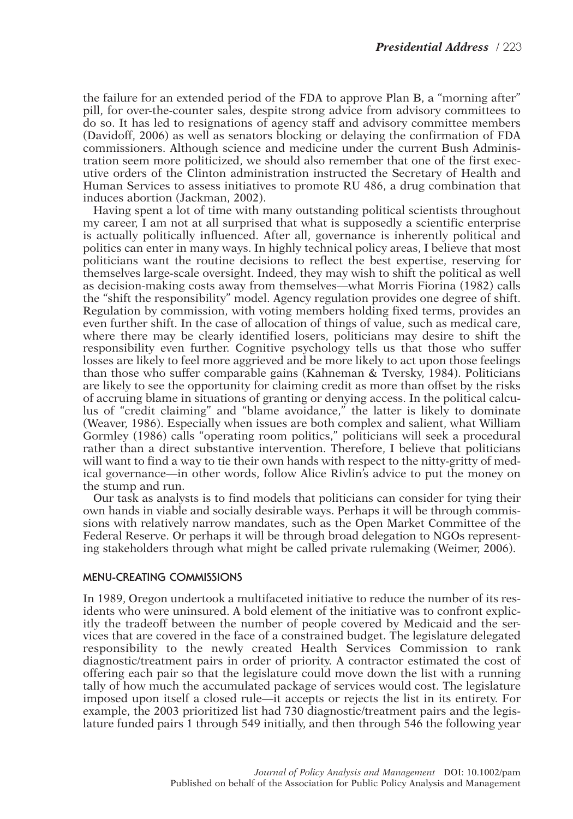the failure for an extended period of the FDA to approve Plan B, a "morning after" pill, for over-the-counter sales, despite strong advice from advisory committees to do so. It has led to resignations of agency staff and advisory committee members (Davidoff, 2006) as well as senators blocking or delaying the confirmation of FDA commissioners. Although science and medicine under the current Bush Administration seem more politicized, we should also remember that one of the first executive orders of the Clinton administration instructed the Secretary of Health and Human Services to assess initiatives to promote RU 486, a drug combination that induces abortion (Jackman, 2002).

Having spent a lot of time with many outstanding political scientists throughout my career, I am not at all surprised that what is supposedly a scientific enterprise is actually politically influenced. After all, governance is inherently political and politics can enter in many ways. In highly technical policy areas, I believe that most politicians want the routine decisions to reflect the best expertise, reserving for themselves large-scale oversight. Indeed, they may wish to shift the political as well as decision-making costs away from themselves—what Morris Fiorina (1982) calls the "shift the responsibility" model. Agency regulation provides one degree of shift. Regulation by commission, with voting members holding fixed terms, provides an even further shift. In the case of allocation of things of value, such as medical care, where there may be clearly identified losers, politicians may desire to shift the responsibility even further. Cognitive psychology tells us that those who suffer losses are likely to feel more aggrieved and be more likely to act upon those feelings than those who suffer comparable gains (Kahneman & Tversky, 1984). Politicians are likely to see the opportunity for claiming credit as more than offset by the risks of accruing blame in situations of granting or denying access. In the political calculus of "credit claiming" and "blame avoidance," the latter is likely to dominate (Weaver, 1986). Especially when issues are both complex and salient, what William Gormley (1986) calls "operating room politics," politicians will seek a procedural rather than a direct substantive intervention. Therefore, I believe that politicians will want to find a way to tie their own hands with respect to the nitty-gritty of medical governance—in other words, follow Alice Rivlin's advice to put the money on the stump and run.

Our task as analysts is to find models that politicians can consider for tying their own hands in viable and socially desirable ways. Perhaps it will be through commissions with relatively narrow mandates, such as the Open Market Committee of the Federal Reserve. Or perhaps it will be through broad delegation to NGOs representing stakeholders through what might be called private rulemaking (Weimer, 2006).

#### **MENU-CREATING COMMISSIONS**

In 1989, Oregon undertook a multifaceted initiative to reduce the number of its residents who were uninsured. A bold element of the initiative was to confront explicitly the tradeoff between the number of people covered by Medicaid and the services that are covered in the face of a constrained budget. The legislature delegated responsibility to the newly created Health Services Commission to rank diagnostic/treatment pairs in order of priority. A contractor estimated the cost of offering each pair so that the legislature could move down the list with a running tally of how much the accumulated package of services would cost. The legislature imposed upon itself a closed rule—it accepts or rejects the list in its entirety. For example, the 2003 prioritized list had 730 diagnostic/treatment pairs and the legislature funded pairs 1 through 549 initially, and then through 546 the following year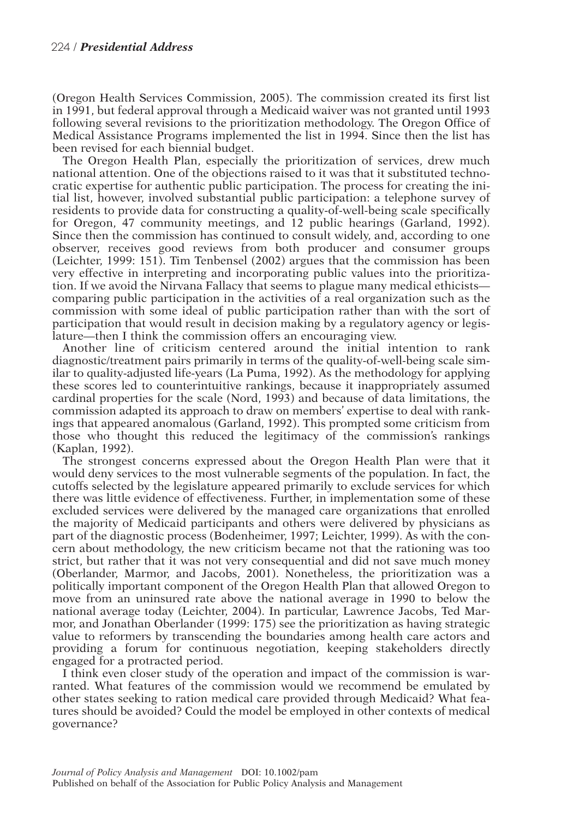(Oregon Health Services Commission, 2005). The commission created its first list in 1991, but federal approval through a Medicaid waiver was not granted until 1993 following several revisions to the prioritization methodology. The Oregon Office of Medical Assistance Programs implemented the list in 1994. Since then the list has been revised for each biennial budget.

The Oregon Health Plan, especially the prioritization of services, drew much national attention. One of the objections raised to it was that it substituted technocratic expertise for authentic public participation. The process for creating the initial list, however, involved substantial public participation: a telephone survey of residents to provide data for constructing a quality-of-well-being scale specifically for Oregon, 47 community meetings, and 12 public hearings (Garland, 1992). Since then the commission has continued to consult widely, and, according to one observer, receives good reviews from both producer and consumer groups (Leichter, 1999: 151). Tim Tenbensel (2002) argues that the commission has been very effective in interpreting and incorporating public values into the prioritization. If we avoid the Nirvana Fallacy that seems to plague many medical ethicists comparing public participation in the activities of a real organization such as the commission with some ideal of public participation rather than with the sort of participation that would result in decision making by a regulatory agency or legislature—then I think the commission offers an encouraging view.

Another line of criticism centered around the initial intention to rank diagnostic/treatment pairs primarily in terms of the quality-of-well-being scale similar to quality-adjusted life-years (La Puma, 1992). As the methodology for applying these scores led to counterintuitive rankings, because it inappropriately assumed cardinal properties for the scale (Nord, 1993) and because of data limitations, the commission adapted its approach to draw on members' expertise to deal with rankings that appeared anomalous (Garland, 1992). This prompted some criticism from those who thought this reduced the legitimacy of the commission's rankings (Kaplan, 1992).

The strongest concerns expressed about the Oregon Health Plan were that it would deny services to the most vulnerable segments of the population. In fact, the cutoffs selected by the legislature appeared primarily to exclude services for which there was little evidence of effectiveness. Further, in implementation some of these excluded services were delivered by the managed care organizations that enrolled the majority of Medicaid participants and others were delivered by physicians as part of the diagnostic process (Bodenheimer, 1997; Leichter, 1999). As with the concern about methodology, the new criticism became not that the rationing was too strict, but rather that it was not very consequential and did not save much money (Oberlander, Marmor, and Jacobs, 2001). Nonetheless, the prioritization was a politically important component of the Oregon Health Plan that allowed Oregon to move from an uninsured rate above the national average in 1990 to below the national average today (Leichter, 2004). In particular, Lawrence Jacobs, Ted Marmor, and Jonathan Oberlander (1999: 175) see the prioritization as having strategic value to reformers by transcending the boundaries among health care actors and providing a forum for continuous negotiation, keeping stakeholders directly engaged for a protracted period.

I think even closer study of the operation and impact of the commission is warranted. What features of the commission would we recommend be emulated by other states seeking to ration medical care provided through Medicaid? What features should be avoided? Could the model be employed in other contexts of medical governance?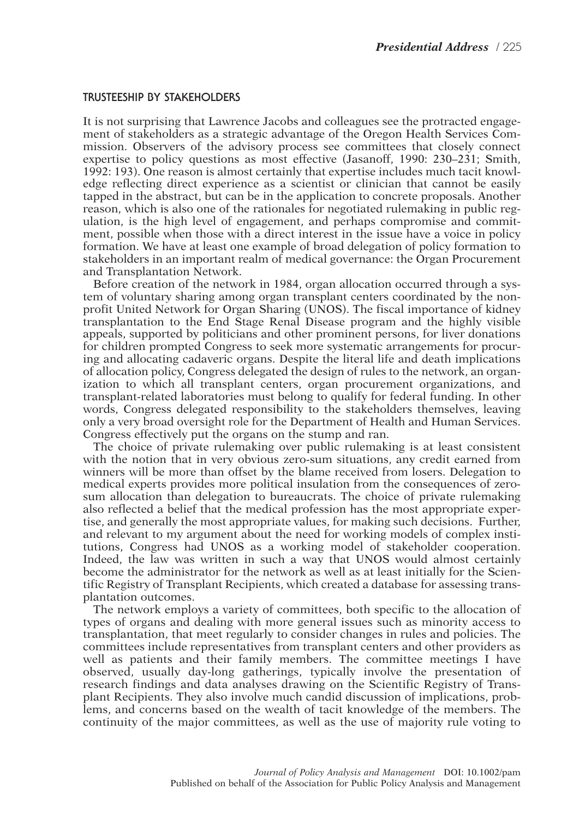#### **TRUSTEESHIP BY STAKEHOLDERS**

It is not surprising that Lawrence Jacobs and colleagues see the protracted engagement of stakeholders as a strategic advantage of the Oregon Health Services Commission. Observers of the advisory process see committees that closely connect expertise to policy questions as most effective (Jasanoff, 1990: 230–231; Smith, 1992: 193). One reason is almost certainly that expertise includes much tacit knowledge reflecting direct experience as a scientist or clinician that cannot be easily tapped in the abstract, but can be in the application to concrete proposals. Another reason, which is also one of the rationales for negotiated rulemaking in public regulation, is the high level of engagement, and perhaps compromise and commitment, possible when those with a direct interest in the issue have a voice in policy formation. We have at least one example of broad delegation of policy formation to stakeholders in an important realm of medical governance: the Organ Procurement and Transplantation Network.

Before creation of the network in 1984, organ allocation occurred through a system of voluntary sharing among organ transplant centers coordinated by the nonprofit United Network for Organ Sharing (UNOS). The fiscal importance of kidney transplantation to the End Stage Renal Disease program and the highly visible appeals, supported by politicians and other prominent persons, for liver donations for children prompted Congress to seek more systematic arrangements for procuring and allocating cadaveric organs. Despite the literal life and death implications of allocation policy, Congress delegated the design of rules to the network, an organization to which all transplant centers, organ procurement organizations, and transplant-related laboratories must belong to qualify for federal funding. In other words, Congress delegated responsibility to the stakeholders themselves, leaving only a very broad oversight role for the Department of Health and Human Services. Congress effectively put the organs on the stump and ran.

The choice of private rulemaking over public rulemaking is at least consistent with the notion that in very obvious zero-sum situations, any credit earned from winners will be more than offset by the blame received from losers. Delegation to medical experts provides more political insulation from the consequences of zerosum allocation than delegation to bureaucrats. The choice of private rulemaking also reflected a belief that the medical profession has the most appropriate expertise, and generally the most appropriate values, for making such decisions. Further, and relevant to my argument about the need for working models of complex institutions, Congress had UNOS as a working model of stakeholder cooperation. Indeed, the law was written in such a way that UNOS would almost certainly become the administrator for the network as well as at least initially for the Scientific Registry of Transplant Recipients, which created a database for assessing transplantation outcomes.

The network employs a variety of committees, both specific to the allocation of types of organs and dealing with more general issues such as minority access to transplantation, that meet regularly to consider changes in rules and policies. The committees include representatives from transplant centers and other providers as well as patients and their family members. The committee meetings I have observed, usually day-long gatherings, typically involve the presentation of research findings and data analyses drawing on the Scientific Registry of Transplant Recipients. They also involve much candid discussion of implications, problems, and concerns based on the wealth of tacit knowledge of the members. The continuity of the major committees, as well as the use of majority rule voting to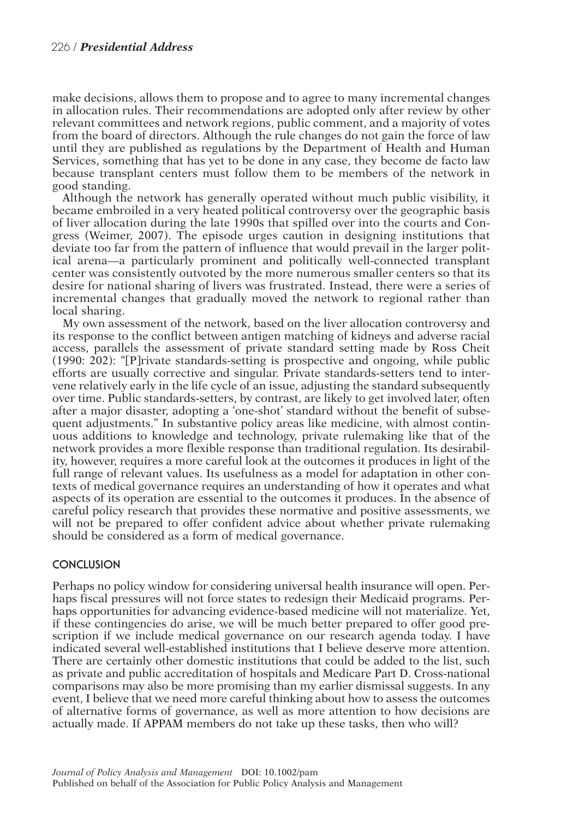make decisions, allows them to propose and to agree to many incremental changes in allocation rules. Their recommendations are adopted only after review by other relevant committees and network regions, public comment, and a majority of votes from the board of directors. Although the rule changes do not gain the force of law until they are published as regulations by the Department of Health and Human Services, something that has yet to be done in any case, they become de facto law because transplant centers must follow them to be members of the network in good standing.

Although the network has generally operated without much public visibility, it became embroiled in a very heated political controversy over the geographic basis of liver allocation during the late 1990s that spilled over into the courts and Congress (Weimer, 2007). The episode urges caution in designing institutions that deviate too far from the pattern of influence that would prevail in the larger political arena—a particularly prominent and politically well-connected transplant center was consistently outvoted by the more numerous smaller centers so that its desire for national sharing of livers was frustrated. Instead, there were a series of incremental changes that gradually moved the network to regional rather than local sharing.

My own assessment of the network, based on the liver allocation controversy and its response to the conflict between antigen matching of kidneys and adverse racial access, parallels the assessment of private standard setting made by Ross Cheit (1990: 202): "[P]rivate standards-setting is prospective and ongoing, while public efforts are usually corrective and singular. Private standards-setters tend to intervene relatively early in the life cycle of an issue, adjusting the standard subsequently over time. Public standards-setters, by contrast, are likely to get involved later, often after a major disaster, adopting a 'one-shot' standard without the benefit of subsequent adjustments." In substantive policy areas like medicine, with almost continuous additions to knowledge and technology, private rulemaking like that of the network provides a more flexible response than traditional regulation. Its desirability, however, requires a more careful look at the outcomes it produces in light of the full range of relevant values. Its usefulness as a model for adaptation in other contexts of medical governance requires an understanding of how it operates and what aspects of its operation are essential to the outcomes it produces. In the absence of careful policy research that provides these normative and positive assessments, we will not be prepared to offer confident advice about whether private rulemaking should be considered as a form of medical governance.

#### **CONCLUSION**

Perhaps no policy window for considering universal health insurance will open. Perhaps fiscal pressures will not force states to redesign their Medicaid programs. Perhaps opportunities for advancing evidence-based medicine will not materialize. Yet, if these contingencies do arise, we will be much better prepared to offer good prescription if we include medical governance on our research agenda today. I have indicated several well-established institutions that I believe deserve more attention. There are certainly other domestic institutions that could be added to the list, such as private and public accreditation of hospitals and Medicare Part D. Cross-national comparisons may also be more promising than my earlier dismissal suggests. In any event, I believe that we need more careful thinking about how to assess the outcomes of alternative forms of governance, as well as more attention to how decisions are actually made. If APPAM members do not take up these tasks, then who will?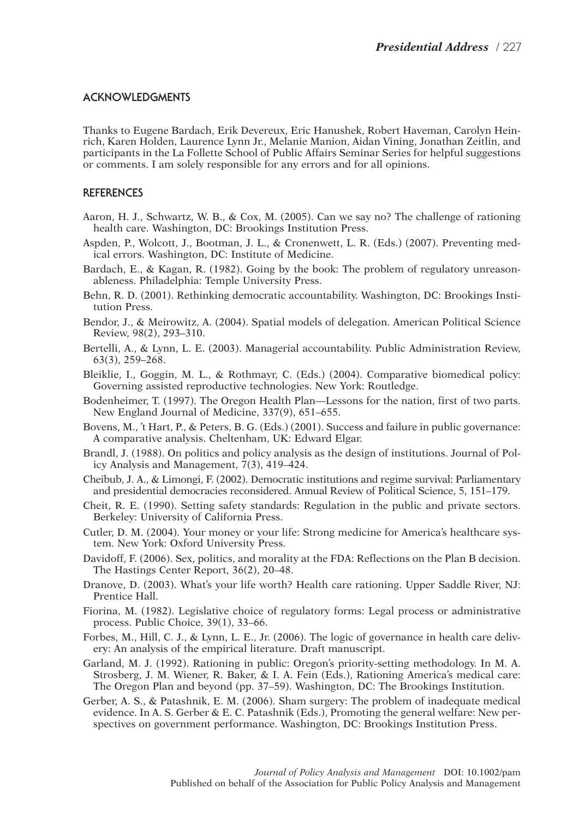#### **ACKNOWLEDGMENTS**

Thanks to Eugene Bardach, Erik Devereux, Eric Hanushek, Robert Haveman, Carolyn Heinrich, Karen Holden, Laurence Lynn Jr., Melanie Manion, Aidan Vining, Jonathan Zeitlin, and participants in the La Follette School of Public Affairs Seminar Series for helpful suggestions or comments. I am solely responsible for any errors and for all opinions.

#### **REFERENCES**

- Aaron, H. J., Schwartz, W. B., & Cox, M. (2005). Can we say no? The challenge of rationing health care. Washington, DC: Brookings Institution Press.
- Aspden, P., Wolcott, J., Bootman, J. L., & Cronenwett, L. R. (Eds.) (2007). Preventing medical errors. Washington, DC: Institute of Medicine.
- Bardach, E., & Kagan, R. (1982). Going by the book: The problem of regulatory unreasonableness. Philadelphia: Temple University Press.
- Behn, R. D. (2001). Rethinking democratic accountability. Washington, DC: Brookings Institution Press.
- Bendor, J., & Meirowitz, A. (2004). Spatial models of delegation. American Political Science Review, 98(2), 293–310.
- Bertelli, A., & Lynn, L. E. (2003). Managerial accountability. Public Administration Review, 63(3), 259–268.
- Bleiklie, I., Goggin, M. L., & Rothmayr, C. (Eds.) (2004). Comparative biomedical policy: Governing assisted reproductive technologies. New York: Routledge.
- Bodenheimer, T. (1997). The Oregon Health Plan—Lessons for the nation, first of two parts. New England Journal of Medicine, 337(9), 651–655.
- Bovens, M., 't Hart, P., & Peters, B. G. (Eds.) (2001). Success and failure in public governance: A comparative analysis. Cheltenham, UK: Edward Elgar.
- Brandl, J. (1988). On politics and policy analysis as the design of institutions. Journal of Policy Analysis and Management, 7(3), 419–424.
- Cheibub, J. A., & Limongi, F. (2002). Democratic institutions and regime survival: Parliamentary and presidential democracies reconsidered. Annual Review of Political Science, 5, 151–179.
- Cheit, R. E. (1990). Setting safety standards: Regulation in the public and private sectors. Berkeley: University of California Press.
- Cutler, D. M. (2004). Your money or your life: Strong medicine for America's healthcare system. New York: Oxford University Press.
- Davidoff, F. (2006). Sex, politics, and morality at the FDA: Reflections on the Plan B decision. The Hastings Center Report, 36(2), 20–48.
- Dranove, D. (2003). What's your life worth? Health care rationing. Upper Saddle River, NJ: Prentice Hall.
- Fiorina, M. (1982). Legislative choice of regulatory forms: Legal process or administrative process. Public Choice, 39(1), 33–66.
- Forbes, M., Hill, C. J., & Lynn, L. E., Jr. (2006). The logic of governance in health care delivery: An analysis of the empirical literature. Draft manuscript.
- Garland, M. J. (1992). Rationing in public: Oregon's priority-setting methodology. In M. A. Strosberg, J. M. Wiener, R. Baker, & I. A. Fein (Eds.), Rationing America's medical care: The Oregon Plan and beyond (pp. 37–59). Washington, DC: The Brookings Institution.
- Gerber, A. S., & Patashnik, E. M. (2006). Sham surgery: The problem of inadequate medical evidence. In A. S. Gerber & E. C. Patashnik (Eds.), Promoting the general welfare: New perspectives on government performance. Washington, DC: Brookings Institution Press.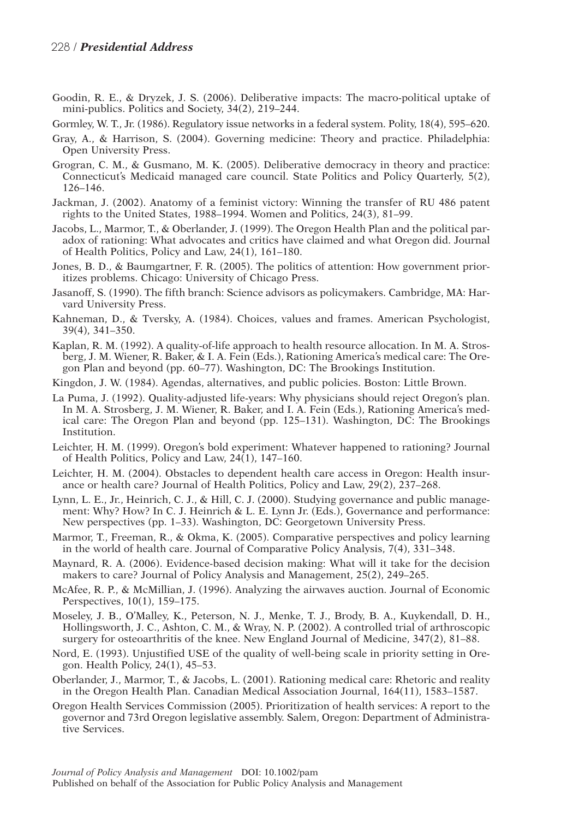- Goodin, R. E., & Dryzek, J. S. (2006). Deliberative impacts: The macro-political uptake of mini-publics. Politics and Society, 34(2), 219–244.
- Gormley, W. T., Jr. (1986). Regulatory issue networks in a federal system. Polity, 18(4), 595–620.
- Gray, A., & Harrison, S. (2004). Governing medicine: Theory and practice. Philadelphia: Open University Press.
- Grogran, C. M., & Gusmano, M. K. (2005). Deliberative democracy in theory and practice: Connecticut's Medicaid managed care council. State Politics and Policy Quarterly, 5(2), 126–146.
- Jackman, J. (2002). Anatomy of a feminist victory: Winning the transfer of RU 486 patent rights to the United States, 1988–1994. Women and Politics, 24(3), 81–99.
- Jacobs, L., Marmor, T., & Oberlander, J. (1999). The Oregon Health Plan and the political paradox of rationing: What advocates and critics have claimed and what Oregon did. Journal of Health Politics, Policy and Law, 24(1), 161–180.
- Jones, B. D., & Baumgartner, F. R. (2005). The politics of attention: How government prioritizes problems. Chicago: University of Chicago Press.
- Jasanoff, S. (1990). The fifth branch: Science advisors as policymakers. Cambridge, MA: Harvard University Press.
- Kahneman, D., & Tversky, A. (1984). Choices, values and frames. American Psychologist, 39(4), 341–350.
- Kaplan, R. M. (1992). A quality-of-life approach to health resource allocation. In M. A. Strosberg, J. M. Wiener, R. Baker, & I. A. Fein (Eds.), Rationing America's medical care: The Oregon Plan and beyond (pp. 60–77). Washington, DC: The Brookings Institution.
- Kingdon, J. W. (1984). Agendas, alternatives, and public policies. Boston: Little Brown.
- La Puma, J. (1992). Quality-adjusted life-years: Why physicians should reject Oregon's plan. In M. A. Strosberg, J. M. Wiener, R. Baker, and I. A. Fein (Eds.), Rationing America's medical care: The Oregon Plan and beyond (pp. 125–131). Washington, DC: The Brookings Institution.
- Leichter, H. M. (1999). Oregon's bold experiment: Whatever happened to rationing? Journal of Health Politics, Policy and Law, 24(1), 147–160.
- Leichter, H. M. (2004). Obstacles to dependent health care access in Oregon: Health insurance or health care? Journal of Health Politics, Policy and Law, 29(2), 237–268.
- Lynn, L. E., Jr., Heinrich, C. J., & Hill, C. J. (2000). Studying governance and public management: Why? How? In C. J. Heinrich & L. E. Lynn Jr. (Eds.), Governance and performance: New perspectives (pp. 1–33). Washington, DC: Georgetown University Press.
- Marmor, T., Freeman, R., & Okma, K. (2005). Comparative perspectives and policy learning in the world of health care. Journal of Comparative Policy Analysis, 7(4), 331–348.
- Maynard, R. A. (2006). Evidence-based decision making: What will it take for the decision makers to care? Journal of Policy Analysis and Management, 25(2), 249–265.
- McAfee, R. P., & McMillian, J. (1996). Analyzing the airwaves auction. Journal of Economic Perspectives, 10(1), 159–175.
- Moseley, J. B., O'Malley, K., Peterson, N. J., Menke, T. J., Brody, B. A., Kuykendall, D. H., Hollingsworth, J. C., Ashton, C. M., & Wray, N. P. (2002). A controlled trial of arthroscopic surgery for osteoarthritis of the knee. New England Journal of Medicine, 347(2), 81–88.
- Nord, E. (1993). Unjustified USE of the quality of well-being scale in priority setting in Oregon. Health Policy, 24(1), 45–53.
- Oberlander, J., Marmor, T., & Jacobs, L. (2001). Rationing medical care: Rhetoric and reality in the Oregon Health Plan. Canadian Medical Association Journal, 164(11), 1583–1587.
- Oregon Health Services Commission (2005). Prioritization of health services: A report to the governor and 73rd Oregon legislative assembly. Salem, Oregon: Department of Administrative Services.